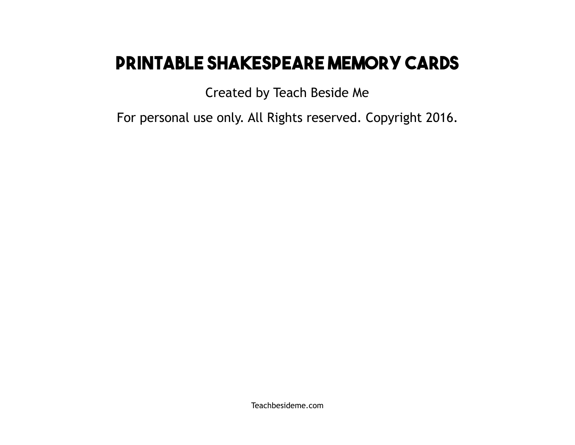# **Printable Shakespeare Memory Cards**

Created by Teach Beside Me

For personal use only. All Rights reserved. Copyright 2016.

Teachbesideme.com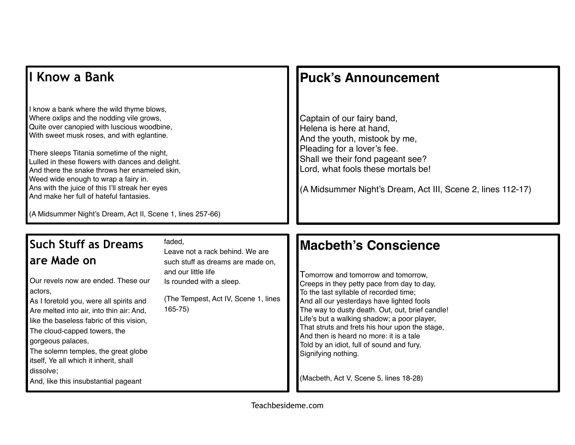#### **I Know a Bank**

I know a bank where the wild thyme blows, Where oxlips and the nodding vile grows, Quite over canopied with luscious woodbine, With sweet musk roses, and with eglantine.

There sleeps Titania sometime of the night, Lulled in these flowers with dances and delight. And there the snake throws her enameled skin, Weed wide enough to wrap a fairy in. Ans with the juice of this I'll streak her eyes And make her full of hateful fantasies.

**Puck's Announcement**

Captain of our fairy band, Helena is here at hand, And the youth, mistook by me, Pleading for a lover's fee. Shall we their fond pageant see? Lord, what fools these mortals be!

(A Midsummer Night's Dream, Act III, Scene 2, lines 112-17)

(A Midsummer Night's Dream, Act II, Scene 1, lines 257-66)

### **Such Stuff as Dreams are Made on**

Our revels now are ended. These our actors,

As I foretold you, were all spirits and Are melted into air, into thin air: And, like the baseless fabric of this vision, The cloud-capped towers, the gorgeous palaces, The solemn temples, the great globe itself, Ye all which it inherit, shall dissolve;

And, like this insubstantial pageant

#### faded,

Leave not a rack behind. We are such stuff as dreams are made on, and our little life Is rounded with a sleep.

(The Tempest, Act IV, Scene 1, lines 165-75)

### **Macbeth's Conscience**

Tomorrow and tomorrow and tomorrow, Creeps in they petty pace from day to day, To the last syllable of recorded time; And all our yesterdays have lighted fools The way to dusty death. Out, out, brief candle! Life's but a walking shadow; a poor player, That struts and frets his hour upon the stage, And then is heard no more: it is a tale Told by an idiot, full of sound and fury, Signifying nothing.

(Macbeth, Act V, Scene 5, lines 18-28)

Teachbesideme.com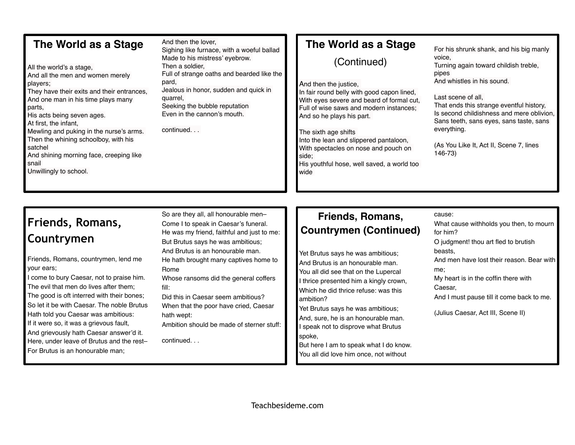#### **The World as a Stage**

All the world's a stage, And all the men and women merely players; They have their exits and their entrances, And one man in his time plays many parts, His acts being seven ages. At first, the infant, Mewling and puking in the nurse's arms. Then the whining schoolboy, with his satchel And shining morning face, creeping like snail Unwillingly to school.

And then the lover, Sighing like furnace, with a woeful ballad Made to his mistress' eyebrow. Then a soldier, Full of strange oaths and bearded like the pard, Jealous in honor, sudden and quick in quarrel, Seeking the bubble reputation Even in the cannon's mouth.

continued. . .

#### **The World as a Stage**

(Continued)

And then the justice, In fair round belly with good capon lined, With eyes severe and beard of formal cut, Full of wise saws and modern instances; And so he plays his part.

The sixth age shifts Into the lean and slippered pantaloon, With spectacles on nose and pouch on side; His youthful hose, well saved, a world too wide

For his shrunk shank, and his big manly voice, Turning again toward childish treble,

pipes And whistles in his sound.

Last scene of all,

That ends this strange eventful history, Is second childishness and mere oblivion, Sans teeth, sans eyes, sans taste, sans everything.

(As You Like It, Act II, Scene 7, lines 146-73)

## **Friends, Romans, Countrymen**

Friends, Romans, countrymen, lend me your ears;

I come to bury Caesar, not to praise him. The evil that men do lives after them; The good is oft interred with their bones; So let it be with Caesar. The noble Brutus Hath told you Caesar was ambitious: If it were so, it was a grievous fault, And grievously hath Caesar answer'd it.

Here, under leave of Brutus and the rest– For Brutus is an honourable man;

So are they all, all honourable men– Come I to speak in Caesar's funeral. He was my friend, faithful and just to me: But Brutus says he was ambitious; And Brutus is an honourable man. He hath brought many captives home to Rome Whose ransoms did the general coffers fill:

Did this in Caesar seem ambitious? When that the poor have cried, Caesar hath wept:

Ambition should be made of sterner stuff:

continued. . .

#### **Friends, Romans, Countrymen (Continued)**

Yet Brutus says he was ambitious; And Brutus is an honourable man. You all did see that on the Lupercal I thrice presented him a kingly crown, Which he did thrice refuse: was this ambition?

Yet Brutus says he was ambitious; And, sure, he is an honourable man. I speak not to disprove what Brutus spoke,

But here I am to speak what I do know. You all did love him once, not without

cause:

What cause withholds you then, to mourn for him? O judgment! thou art fled to brutish beasts, And men have lost their reason. Bear with

me;

My heart is in the coffin there with Caesar,

And I must pause till it come back to me.

(Julius Caesar, Act III, Scene II)